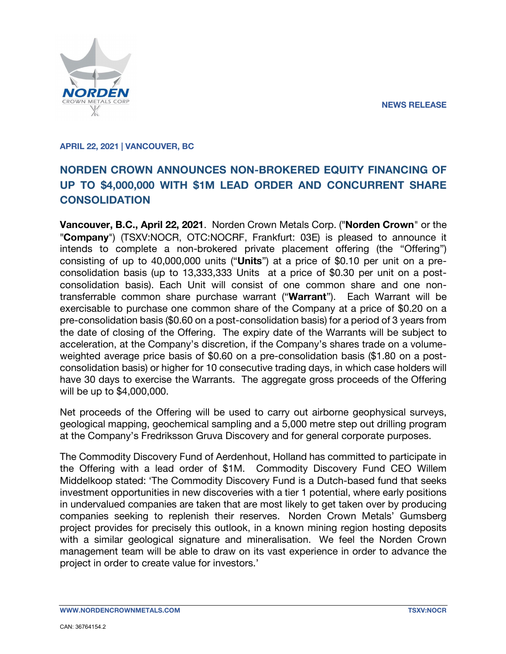**NEWS RELEASE**



#### **APRIL 22, 2021 | VANCOUVER, BC**

# **NORDEN CROWN ANNOUNCES NON-BROKERED EQUITY FINANCING OF UP TO \$4,000,000 WITH \$1M LEAD ORDER AND CONCURRENT SHARE CONSOLIDATION**

**Vancouver, B.C., April 22, 2021**. Norden Crown Metals Corp. ("**Norden Crown**" or the "**Company**") (TSXV:NOCR, OTC:NOCRF, Frankfurt: 03E) is pleased to announce it intends to complete a non-brokered private placement offering (the "Offering") consisting of up to 40,000,000 units ("**Units**") at a price of \$0.10 per unit on a preconsolidation basis (up to 13,333,333 Units at a price of \$0.30 per unit on a postconsolidation basis). Each Unit will consist of one common share and one nontransferrable common share purchase warrant ("**Warrant**"). Each Warrant will be exercisable to purchase one common share of the Company at a price of \$0.20 on a pre-consolidation basis (\$0.60 on a post-consolidation basis) for a period of 3 years from the date of closing of the Offering. The expiry date of the Warrants will be subject to acceleration, at the Company's discretion, if the Company's shares trade on a volumeweighted average price basis of \$0.60 on a pre-consolidation basis (\$1.80 on a postconsolidation basis) or higher for 10 consecutive trading days, in which case holders will have 30 days to exercise the Warrants. The aggregate gross proceeds of the Offering will be up to \$4,000,000.

Net proceeds of the Offering will be used to carry out airborne geophysical surveys, geological mapping, geochemical sampling and a 5,000 metre step out drilling program at the Company's Fredriksson Gruva Discovery and for general corporate purposes.

The Commodity Discovery Fund of Aerdenhout, Holland has committed to participate in the Offering with a lead order of \$1M. Commodity Discovery Fund CEO Willem Middelkoop stated: 'The Commodity Discovery Fund is a Dutch-based fund that seeks investment opportunities in new discoveries with a tier 1 potential, where early positions in undervalued companies are taken that are most likely to get taken over by producing companies seeking to replenish their reserves. Norden Crown Metals' Gumsberg project provides for precisely this outlook, in a known mining region hosting deposits with a similar geological signature and mineralisation. We feel the Norden Crown management team will be able to draw on its vast experience in order to advance the project in order to create value for investors.'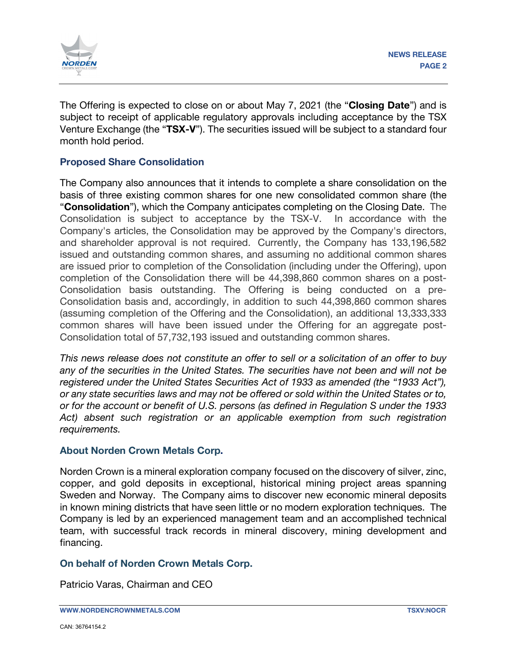

The Offering is expected to close on or about May 7, 2021 (the "**Closing Date**") and is subject to receipt of applicable regulatory approvals including acceptance by the TSX Venture Exchange (the "**TSX-V**"). The securities issued will be subject to a standard four month hold period.

## **Proposed Share Consolidation**

The Company also announces that it intends to complete a share consolidation on the basis of three existing common shares for one new consolidated common share (the "**Consolidation**"), which the Company anticipates completing on the Closing Date. The Consolidation is subject to acceptance by the TSX-V. In accordance with the Company's articles, the Consolidation may be approved by the Company's directors, and shareholder approval is not required. Currently, the Company has 133,196,582 issued and outstanding common shares, and assuming no additional common shares are issued prior to completion of the Consolidation (including under the Offering), upon completion of the Consolidation there will be 44,398,860 common shares on a post-Consolidation basis outstanding. The Offering is being conducted on a pre-Consolidation basis and, accordingly, in addition to such 44,398,860 common shares (assuming completion of the Offering and the Consolidation), an additional 13,333,333 common shares will have been issued under the Offering for an aggregate post-Consolidation total of 57,732,193 issued and outstanding common shares.

*This news release does not constitute an offer to sell or a solicitation of an offer to buy any of the securities in the United States. The securities have not been and will not be registered under the United States Securities Act of 1933 as amended (the "1933 Act"), or any state securities laws and may not be offered or sold within the United States or to, or for the account or benefit of U.S. persons (as defined in Regulation S under the 1933 Act) absent such registration or an applicable exemption from such registration requirements.* 

## **About Norden Crown Metals Corp.**

Norden Crown is a mineral exploration company focused on the discovery of silver, zinc, copper, and gold deposits in exceptional, historical mining project areas spanning Sweden and Norway. The Company aims to discover new economic mineral deposits in known mining districts that have seen little or no modern exploration techniques. The Company is led by an experienced management team and an accomplished technical team, with successful track records in mineral discovery, mining development and financing.

## **On behalf of Norden Crown Metals Corp.**

Patricio Varas, Chairman and CEO